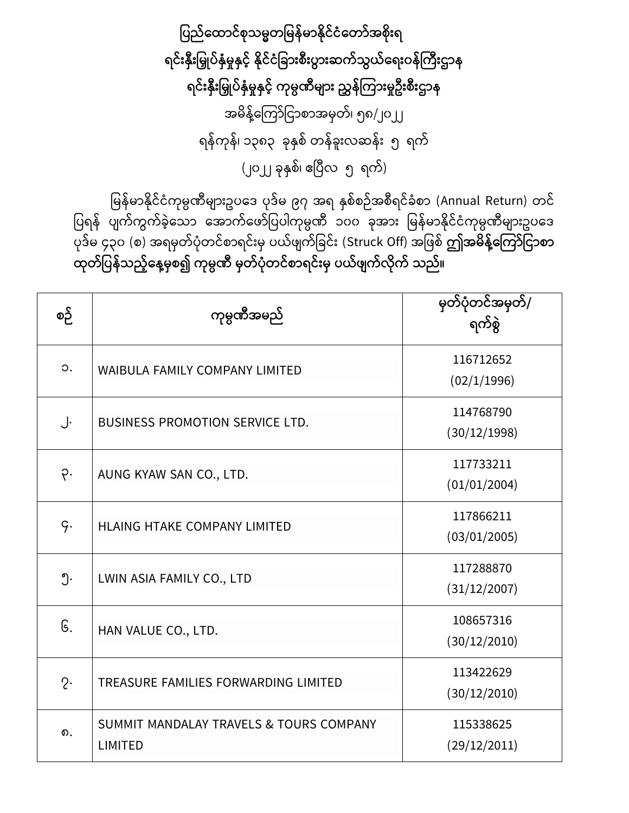ပြည်ထောင်စုသမ္မတမြန်မာနိုင်ငံတော်အစိုးရ ရင်းနှီးမြှုပ်နှံမှုနှင့် နိုင်ငံခြားစီးပွားဆက်သွယ်ရေးဝန်ကြီးဌာန ရင်းနှီးမြှုပ်နှံမှုနှင့် ကုမ္ပဏီများ ညွှန်ကြားမှုဦးစီးဌာန အမိန့်ကြော်ငြာစာအမှတ်၊ ၅၈/၂၀၂၂ ရန်ကုန်၊ ၁၃၈၃ ခုနှစ် တန်ခူးလဆန်း ၅ ရက် (၂၀၂၂ ခုနှစ်၊ ဧပြီလ ၅ ရက်)

မြန်မာနိုင်ငံကုမ္ပဏီများဥပဒေ ပုဒ်မ ၉၇ အရ နှစ်စဉ်အစီရင်ခံစာ (Annual Return) တင် .<br>ပြရန် ပျက်ကွက်ခဲ့သော အောက်ဖော်ပြပါကုမ္ပဏီ ၁၀၀ ခုအား မြန်မာနိုင်ငံကုမ္ပဏီများဥပဒေ ုေြော်မ ၄၃၀ (စ) အရမှတြော် ံုတ ြော်စြာရ ြော်ူးမှ ယြော် ြော်ငခ ြော်ူး (Struck Off) အင စြော် **ဤအမ္ န့််ထကကော်ပငောစော**  ထုတ်ပြန်သည့်နေ့မှစ၍ ကုမ္ပဏီ မှတ်ပုံတင်စာရင်းမှ ပယ်ဖျက်လိုက် သည်။

| စဉ်            | ကုမ္ပဏီအမည်                                               | မှတ်ပုံတင်အမှတ်/<br>ရက်စွဲ |
|----------------|-----------------------------------------------------------|----------------------------|
| $\circ$ .      | <b>WAIBULA FAMILY COMPANY LIMITED</b>                     | 116712652<br>(02/1/1996)   |
| J.             | <b>BUSINESS PROMOTION SERVICE LTD.</b>                    | 114768790<br>(30/12/1998)  |
| ò.             | AUNG KYAW SAN CO., LTD.                                   | 117733211<br>(01/01/2004)  |
| q.             | HLAING HTAKE COMPANY LIMITED                              | 117866211<br>(03/01/2005)  |
| ၅.             | LWIN ASIA FAMILY CO., LTD                                 | 117288870<br>(31/12/2007)  |
| G.             | HAN VALUE CO., LTD.                                       | 108657316<br>(30/12/2010)  |
| $2\cdot$       | TREASURE FAMILIES FORWARDING LIMITED                      | 113422629<br>(30/12/2010)  |
| $\mathbf{D}$ . | SUMMIT MANDALAY TRAVELS & TOURS COMPANY<br><b>LIMITED</b> | 115338625<br>(29/12/2011)  |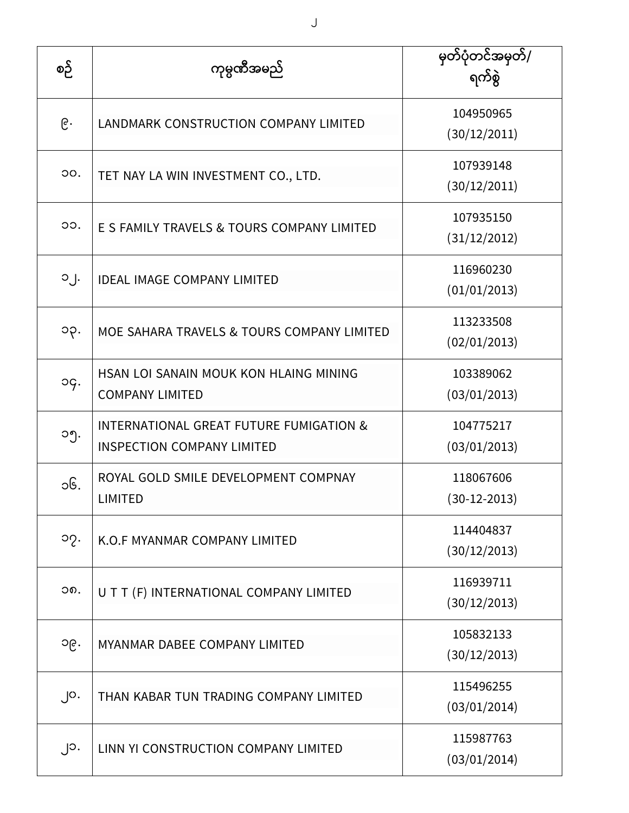| စဉ်               | ကုမ္ပဏီအမည်                                                                             | မြတ်ပုံတင်အမှတ်/<br>ရက်စွဲ |
|-------------------|-----------------------------------------------------------------------------------------|----------------------------|
| ၉.                | LANDMARK CONSTRUCTION COMPANY LIMITED                                                   | 104950965<br>(30/12/2011)  |
| OO.               | TET NAY LA WIN INVESTMENT CO., LTD.                                                     | 107939148<br>(30/12/2011)  |
| OO.               | E S FAMILY TRAVELS & TOURS COMPANY LIMITED                                              | 107935150<br>(31/12/2012)  |
| $O_1$ .           | <b>IDEAL IMAGE COMPANY LIMITED</b>                                                      | 116960230<br>(01/01/2013)  |
| ၁၃.               | MOE SAHARA TRAVELS & TOURS COMPANY LIMITED                                              | 113233508<br>(02/01/2013)  |
| og.               | HSAN LOI SANAIN MOUK KON HLAING MINING<br><b>COMPANY LIMITED</b>                        | 103389062<br>(03/01/2013)  |
| ၁၅.               | <b>INTERNATIONAL GREAT FUTURE FUMIGATION &amp;</b><br><b>INSPECTION COMPANY LIMITED</b> | 104775217<br>(03/01/2013)  |
| ၁၆.               | ROYAL GOLD SMILE DEVELOPMENT COMPNAY<br><b>LIMITED</b>                                  | 118067606<br>(30-12-2013)  |
| ၁၇.               | K.O.F MYANMAR COMPANY LIMITED                                                           | 114404837<br>(30/12/2013)  |
| ວ໑.               | U T T (F) INTERNATIONAL COMPANY LIMITED                                                 | 116939711<br>(30/12/2013)  |
| ၁၉.               | <b>MYANMAR DABEE COMPANY LIMITED</b>                                                    | 105832133<br>(30/12/2013)  |
| $\cdot$ $\circ$ . | THAN KABAR TUN TRADING COMPANY LIMITED                                                  | 115496255<br>(03/01/2014)  |
| ၂၁.               | LINN YI CONSTRUCTION COMPANY LIMITED                                                    | 115987763<br>(03/01/2014)  |

 $\bigcup$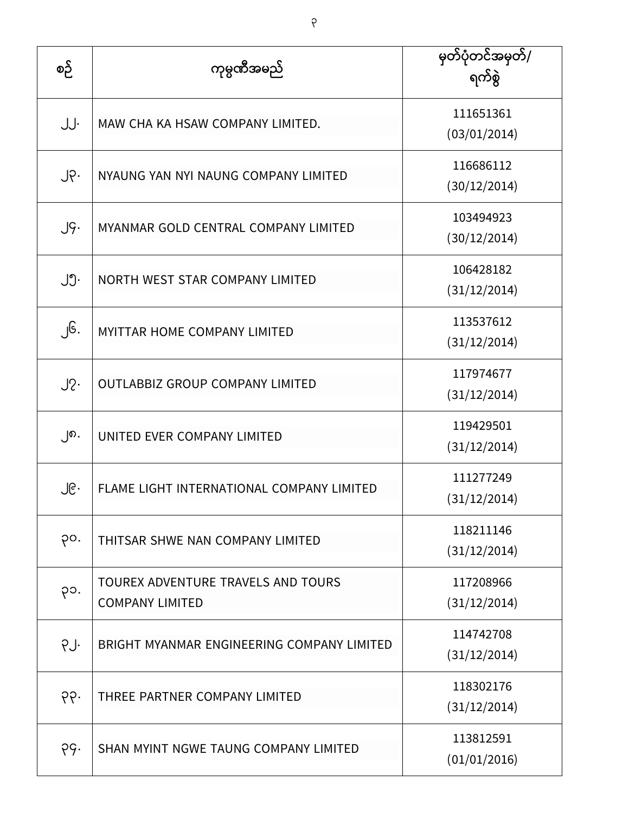| စဉ်              | ကုမ္ပဏီအမည်                                                  | မှတ်ပုံတင်အမှတ်/<br>ရက်စွဲ |
|------------------|--------------------------------------------------------------|----------------------------|
| JJ.              | MAW CHA KA HSAW COMPANY LIMITED.                             | 111651361<br>(03/01/2014)  |
| $J \circ \cdot$  | NYAUNG YAN NYI NAUNG COMPANY LIMITED                         | 116686112<br>(30/12/2014)  |
| $J\mathcal{G}$ . | MYANMAR GOLD CENTRAL COMPANY LIMITED                         | 103494923<br>(30/12/2014)  |
| ၂၅.              | NORTH WEST STAR COMPANY LIMITED                              | 106428182<br>(31/12/2014)  |
| ၂၆.              | <b>MYITTAR HOME COMPANY LIMITED</b>                          | 113537612<br>(31/12/2014)  |
| $J2$ .           | <b>OUTLABBIZ GROUP COMPANY LIMITED</b>                       | 117974677<br>(31/12/2014)  |
| ၂၈.              | UNITED EVER COMPANY LIMITED                                  | 119429501<br>(31/12/2014)  |
| ၂၉.              | FLAME LIGHT INTERNATIONAL COMPANY LIMITED                    | 111277249<br>(31/12/2014)  |
| po.              | THITSAR SHWE NAN COMPANY LIMITED                             | 118211146<br>(31/12/2014)  |
| ၃၁.              | TOUREX ADVENTURE TRAVELS AND TOURS<br><b>COMPANY LIMITED</b> | 117208966<br>(31/12/2014)  |
| PJ.              | BRIGHT MYANMAR ENGINEERING COMPANY LIMITED                   | 114742708<br>(31/12/2014)  |
| ၃၃.              | THREE PARTNER COMPANY LIMITED                                | 118302176<br>(31/12/2014)  |
| ၃၄.              | SHAN MYINT NGWE TAUNG COMPANY LIMITED                        | 113812591<br>(01/01/2016)  |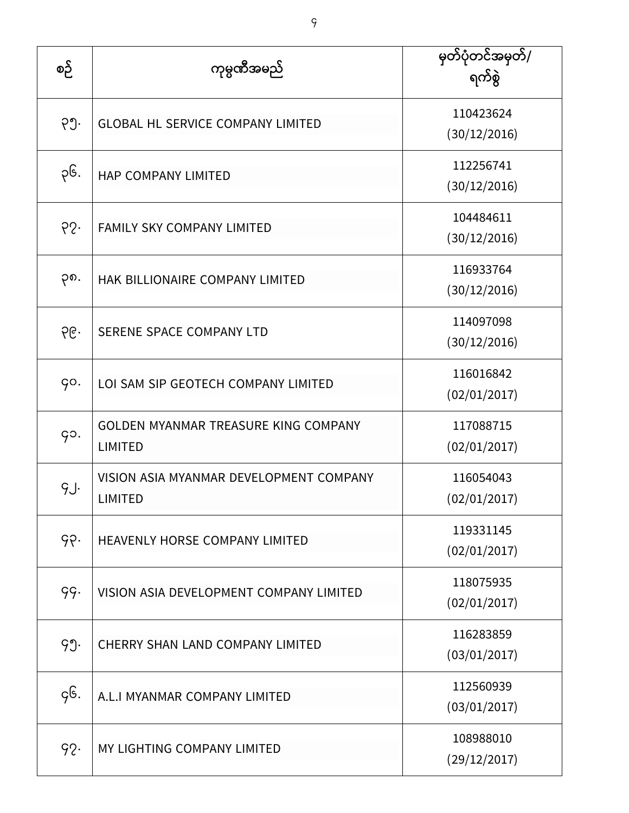| စဉ် | ကုမ္ပဏီအမည်                                                   | မှတ်ပုံတင်အမှတ်/<br>ရက်စွဲ |
|-----|---------------------------------------------------------------|----------------------------|
| ၃၅. | <b>GLOBAL HL SERVICE COMPANY LIMITED</b>                      | 110423624<br>(30/12/2016)  |
| ၃၆. | HAP COMPANY LIMITED                                           | 112256741<br>(30/12/2016)  |
| 65. | <b>FAMILY SKY COMPANY LIMITED</b>                             | 104484611<br>(30/12/2016)  |
| ၃၈. | HAK BILLIONAIRE COMPANY LIMITED                               | 116933764<br>(30/12/2016)  |
| ၃၉. | SERENE SPACE COMPANY LTD                                      | 114097098<br>(30/12/2016)  |
| go. | LOI SAM SIP GEOTECH COMPANY LIMITED                           | 116016842<br>(02/01/2017)  |
| go. | <b>GOLDEN MYANMAR TREASURE KING COMPANY</b><br><b>LIMITED</b> | 117088715<br>(02/01/2017)  |
| gJ. | VISION ASIA MYANMAR DEVELOPMENT COMPANY<br><b>LIMITED</b>     | 116054043<br>(02/01/2017)  |
| ၄၃. | HEAVENLY HORSE COMPANY LIMITED                                | 119331145<br>(02/01/2017)  |
| 99. | VISION ASIA DEVELOPMENT COMPANY LIMITED                       | 118075935<br>(02/01/2017)  |
| 99. | <b>CHERRY SHAN LAND COMPANY LIMITED</b>                       | 116283859<br>(03/01/2017)  |
| gG. | A.L.I MYANMAR COMPANY LIMITED                                 | 112560939<br>(03/01/2017)  |
| 92. | MY LIGHTING COMPANY LIMITED                                   | 108988010<br>(29/12/2017)  |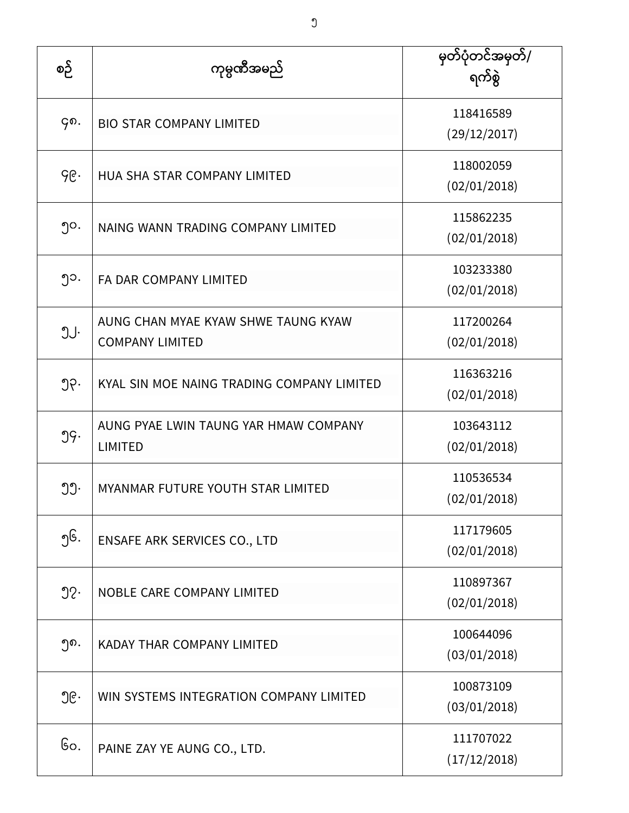| စဉ်              | ကုမ္ပဏီအမည်                                                   | မှတ်ပုံတင်အမှတ်/<br>ရက်စွဲ |
|------------------|---------------------------------------------------------------|----------------------------|
| Go.              | <b>BIO STAR COMPANY LIMITED</b>                               | 118416589<br>(29/12/2017)  |
| ၄၉.              | HUA SHA STAR COMPANY LIMITED                                  | 118002059<br>(02/01/2018)  |
| ၅၀.              | NAING WANN TRADING COMPANY LIMITED                            | 115862235<br>(02/01/2018)  |
| ၅၁.              | FA DAR COMPANY LIMITED                                        | 103233380<br>(02/01/2018)  |
| JJ.              | AUNG CHAN MYAE KYAW SHWE TAUNG KYAW<br><b>COMPANY LIMITED</b> | 117200264<br>(02/01/2018)  |
| ၅၃.              | KYAL SIN MOE NAING TRADING COMPANY LIMITED                    | 116363216<br>(02/01/2018)  |
| 99.              | AUNG PYAE LWIN TAUNG YAR HMAW COMPANY<br><b>LIMITED</b>       | 103643112<br>(02/01/2018)  |
| ၅၅.              | MYANMAR FUTURE YOUTH STAR LIMITED                             | 110536534<br>(02/01/2018)  |
| ၅၆.              | ENSAFE ARK SERVICES CO., LTD                                  | 117179605<br>(02/01/2018)  |
| $\mathfrak{D}$ . | NOBLE CARE COMPANY LIMITED                                    | 110897367<br>(02/01/2018)  |
| ၅၈.              | KADAY THAR COMPANY LIMITED                                    | 100644096<br>(03/01/2018)  |
| ၅၉.              | WIN SYSTEMS INTEGRATION COMPANY LIMITED                       | 100873109<br>(03/01/2018)  |
| Go.              | PAINE ZAY YE AUNG CO., LTD.                                   | 111707022<br>(17/12/2018)  |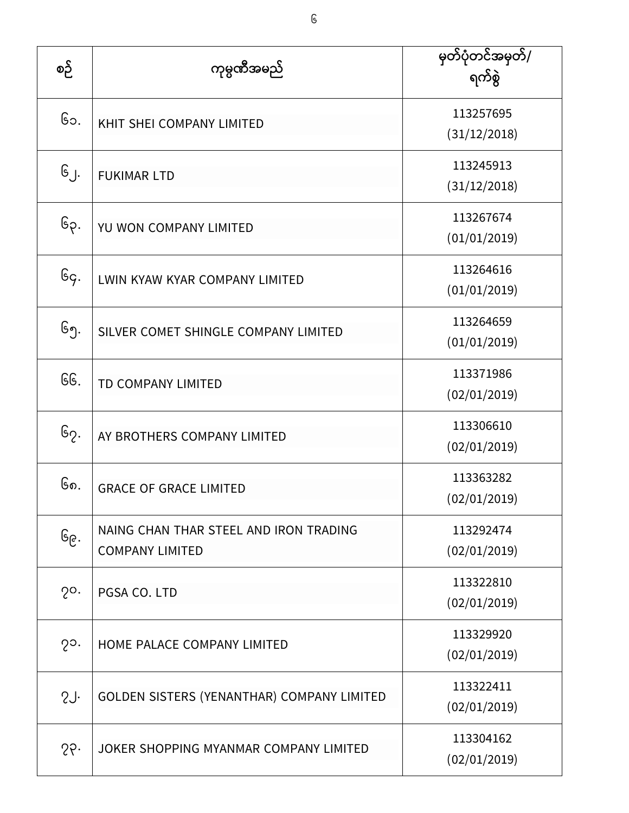| စဉ်           | ကုမ္ပဏီအမည်                                                      | မှတ်ပုံတင်အမှတ်/<br>ရက်စွဲ |
|---------------|------------------------------------------------------------------|----------------------------|
| ၆၁.           | KHIT SHEI COMPANY LIMITED                                        | 113257695<br>(31/12/2018)  |
| ၆၂.           | <b>FUKIMAR LTD</b>                                               | 113245913<br>(31/12/2018)  |
| ၆၃.           | YU WON COMPANY LIMITED                                           | 113267674<br>(01/01/2019)  |
| Gg.           | LWIN KYAW KYAR COMPANY LIMITED                                   | 113264616<br>(01/01/2019)  |
| ၆၅.           | SILVER COMET SHINGLE COMPANY LIMITED                             | 113264659<br>(01/01/2019)  |
| GG.           | TD COMPANY LIMITED                                               | 113371986<br>(02/01/2019)  |
| ၆၇.           | AY BROTHERS COMPANY LIMITED                                      | 113306610<br>(02/01/2019)  |
| ၆၈.           | <b>GRACE OF GRACE LIMITED</b>                                    | 113363282<br>(02/01/2019)  |
| ၆၉․           | NAING CHAN THAR STEEL AND IRON TRADING<br><b>COMPANY LIMITED</b> | 113292474<br>(02/01/2019)  |
| $2^{\circ}$ . | PGSA CO. LTD                                                     | 113322810<br>(02/01/2019)  |
| $2^{\circ}$ . | HOME PALACE COMPANY LIMITED                                      | 113329920<br>(02/01/2019)  |
| 2J            | GOLDEN SISTERS (YENANTHAR) COMPANY LIMITED                       | 113322411<br>(02/01/2019)  |
| 25.           | JOKER SHOPPING MYANMAR COMPANY LIMITED                           | 113304162<br>(02/01/2019)  |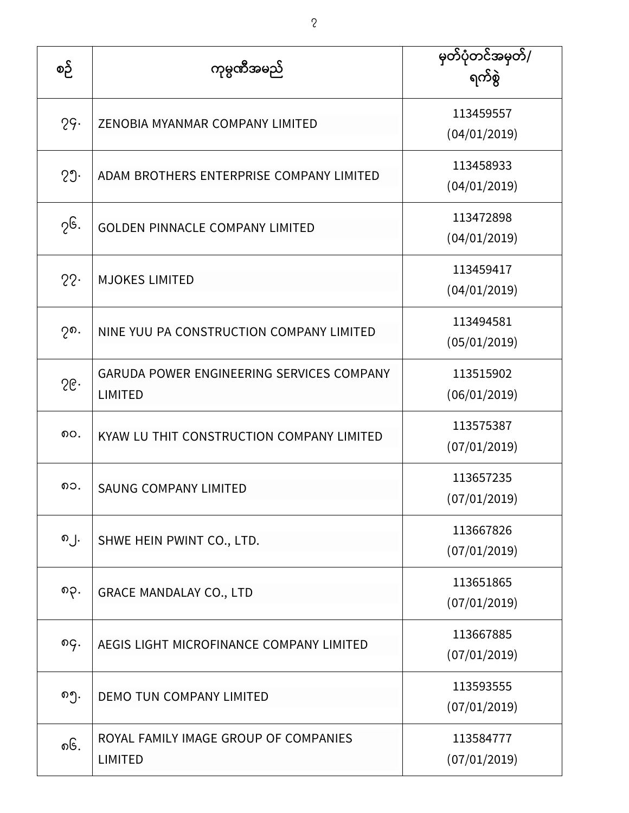| စဉ် | ကုမ္ပဏီအမည်                                                 | မှတ်ပုံတင်အမှတ်/<br>ရက်စွဲ |
|-----|-------------------------------------------------------------|----------------------------|
| 29. | ZENOBIA MYANMAR COMPANY LIMITED                             | 113459557<br>(04/01/2019)  |
| 29. | ADAM BROTHERS ENTERPRISE COMPANY LIMITED                    | 113458933<br>(04/01/2019)  |
| ၇၆. | <b>GOLDEN PINNACLE COMPANY LIMITED</b>                      | 113472898<br>(04/01/2019)  |
| 22. | <b>MJOKES LIMITED</b>                                       | 113459417<br>(04/01/2019)  |
| ၇၈. | NINE YUU PA CONSTRUCTION COMPANY LIMITED                    | 113494581<br>(05/01/2019)  |
| 56. | GARUDA POWER ENGINEERING SERVICES COMPANY<br><b>LIMITED</b> | 113515902<br>(06/01/2019)  |
| ၈၀. | KYAW LU THIT CONSTRUCTION COMPANY LIMITED                   | 113575387<br>(07/01/2019)  |
| ၈၁. | <b>SAUNG COMPANY LIMITED</b>                                | 113657235<br>(07/01/2019)  |
| ၈၂. | SHWE HEIN PWINT CO., LTD.                                   | 113667826<br>(07/01/2019)  |
| ၈၃. | <b>GRACE MANDALAY CO., LTD</b>                              | 113651865<br>(07/01/2019)  |
| ၈၄. | AEGIS LIGHT MICROFINANCE COMPANY LIMITED                    | 113667885<br>(07/01/2019)  |
| ၈၅. | DEMO TUN COMPANY LIMITED                                    | 113593555<br>(07/01/2019)  |
| ၈၆. | ROYAL FAMILY IMAGE GROUP OF COMPANIES<br><b>LIMITED</b>     | 113584777<br>(07/01/2019)  |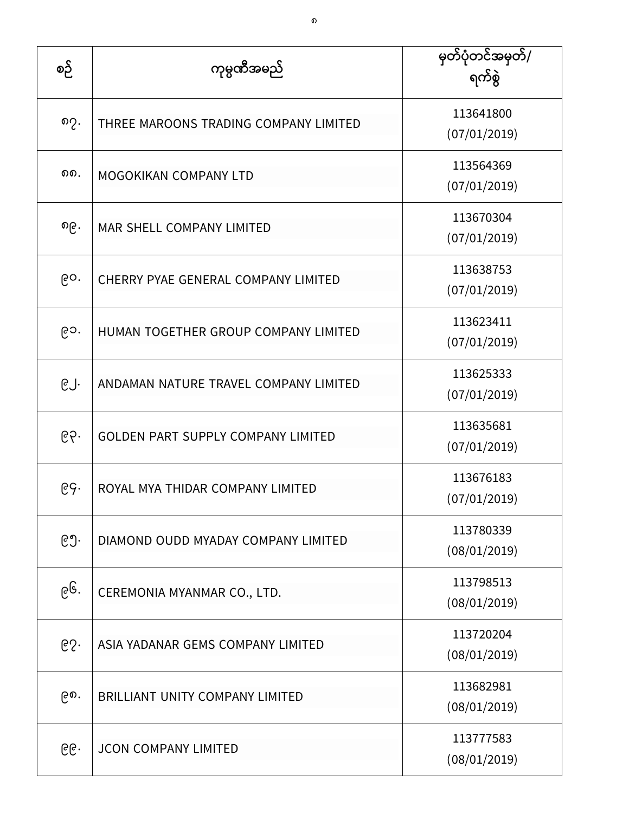| စဉ် | ကုမ္ပဏီအမည်                               | မြတ်ပုံတင်အမှတ်/<br>ရက်စွဲ |
|-----|-------------------------------------------|----------------------------|
| ၈၇. | THREE MAROONS TRADING COMPANY LIMITED     | 113641800<br>(07/01/2019)  |
| ດດ. | <b>MOGOKIKAN COMPANY LTD</b>              | 113564369<br>(07/01/2019)  |
| ၈၉. | MAR SHELL COMPANY LIMITED                 | 113670304<br>(07/01/2019)  |
| ၉၀. | CHERRY PYAE GENERAL COMPANY LIMITED       | 113638753<br>(07/01/2019)  |
| ၉၁. | HUMAN TOGETHER GROUP COMPANY LIMITED      | 113623411<br>(07/01/2019)  |
| ၉၂. | ANDAMAN NATURE TRAVEL COMPANY LIMITED     | 113625333<br>(07/01/2019)  |
| ၉၃. | <b>GOLDEN PART SUPPLY COMPANY LIMITED</b> | 113635681<br>(07/01/2019)  |
| ၉၄. | ROYAL MYA THIDAR COMPANY LIMITED          | 113676183<br>(07/01/2019)  |
| ၉၅. | DIAMOND OUDD MYADAY COMPANY LIMITED       | 113780339<br>(08/01/2019)  |
| ၉၆. | CEREMONIA MYANMAR CO., LTD.               | 113798513<br>(08/01/2019)  |
| 65. | ASIA YADANAR GEMS COMPANY LIMITED         | 113720204<br>(08/01/2019)  |
| ၉၈. | <b>BRILLIANT UNITY COMPANY LIMITED</b>    | 113682981<br>(08/01/2019)  |
| ၉၉. | <b>JCON COMPANY LIMITED</b>               | 113777583<br>(08/01/2019)  |